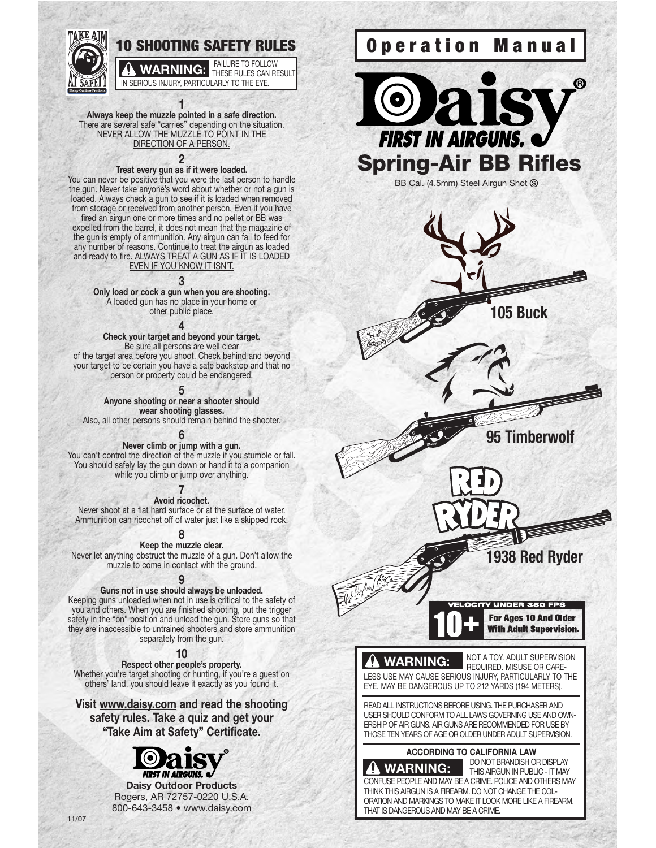

**1 Always keep the muzzle pointed in a safe direction.** There are several safe "carries" depending on the situation. NEVER ALLOW THE MUZZLE TO POINT IN THE DIRECTION OF A PERSON.

#### **2**

**Treat every gun as if it were loaded.** You can never be positive that you were the last person to handle the gun. Never take anyone's word about whether or not a gun is loaded. Always check a gun to see if it is loaded when removed from storage or received from another person. Even if you have fired an airgun one or more times and no pellet or BB was expelled from the barrel, it does not mean that the magazine of the gun is empty of ammunition. Any airgun can fail to feed for any number of reasons. Continue to treat the airgun as loaded and ready to fire. ALWAYS TREAT A GUN AS IF IT IS LOADED EVEN IF YOU KNOW IT ISN'T.

#### **3**

**Only load or cock a gun when you are shooting.** A loaded gun has no place in your home or other public place.

#### **4**

**Check your target and beyond your target.** Be sure all persons are well clear of the target area before you shoot. Check behind and beyond your target to be certain you have a safe backstop and that no person or property could be endangered.

**5**

**Anyone shooting or near a shooter should wear shooting glasses.** 

Also, all other persons should remain behind the shooter.

#### **6**

**Never climb or jump with a gun.** You can't control the direction of the muzzle if you stumble or fall. You should safely lay the gun down or hand it to a companion while you climb or jump over anything.

> **7 Avoid ricochet.**

Never shoot at a flat hard surface or at the surface of water. Ammunition can ricochet off of water just like a skipped rock.

**8**

**Keep the muzzle clear.**  Never let anything obstruct the muzzle of a gun. Don't allow the muzzle to come in contact with the ground.

#### **9**

**Guns not in use should always be unloaded.** 

Keeping guns unloaded when not in use is critical to the safety of you and others. When you are finished shooting, put the trigger safety in the "on" position and unload the gun. Store guns so that they are inaccessible to untrained shooters and store ammunition separately from the gun.

**10**

**Respect other people's property.** Whether you're target shooting or hunting, if you're a guest on others' land, you should leave it exactly as you found it.

**Visit www.daisy.com and read the shooting safety rules. Take a quiz and get your "Take Aim at Safety" Certificate.**

**FIRST IN AIRGUNS.** @ **Daisy Outdoor Products** Rogers, AR 72757-0220 U.S.A. 800-643-3458 • www.daisy.com





BB Cal. (4.5mm) Steel Airgun Shot <sup>®</sup>



**105 Buck**

**95 Timberwolf**

**1938 Red Ryder**

For Ages 10 And Older **With Adult Supervision.** 

NOT A TOY. ADULT SUPERVISION

# **WARNING:**

REQUIRED. MISUSE OR CARE-LESS USE MAY CAUSE SERIOUS INJURY, PARTICULARLY TO THE EYE. MAY BE DANGEROUS UP TO 212 YARDS (194 METERS).

READ ALL INSTRUCTIONS BEFORE USING. THE PURCHASER AND USER SHOULD CONFORM TO ALL LAWS GOVERNING USE AND OWN-ERSHIP OF AIR GUNS. AIR GUNS ARE RECOMMENDED FOR USE BY THOSE TEN YEARS OF AGE OR OLDER UNDER ADULT SUPERVISION.

#### **ACCORDING TO CALIFORNIA LAW**

DO NOT BRANDISH OR DISPLAY THIS AIRGUN IN PUBLIC - IT MAY CONFUSE PEOPLE AND MAY BE A CRIME. POLICE AND OTHERS MAY THINK THIS AIRGUN IS A FIREARM. DO NOT CHANGE THE COL-ORATION AND MARKINGS TO MAKE IT LOOK MORE LIKE A FIREARM. **WARNING:**

THAT IS DANGEROUS AND MAY BE A CRIME.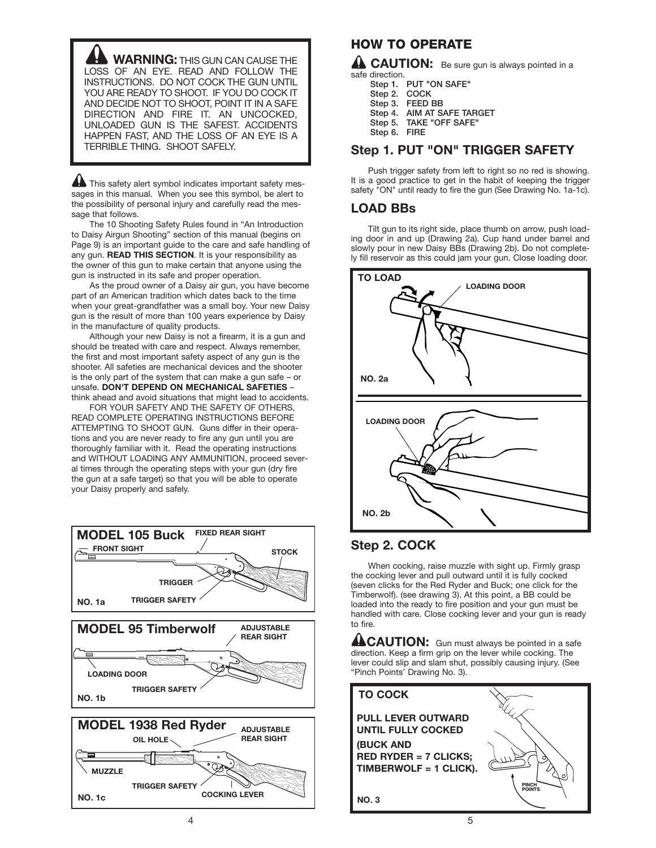**WARNING:** THIS GUN CAN CAUSE THE LOSS OF AN EYE. READ AND FOLLOW THE INSTRUCTIONS. DO NOT COCK THE GUN UNTIL YOU ARE READY TO SHOOT. IF YOU DO COCK IT AND DECIDE NOT TO SHOOT, POINT IT IN A SAFE DIRECTION AND FIRE IT. AN UNCOCKED, UNLOADED GUN IS THE SAFEST. ACCIDENTS HAPPEN FAST, AND THE LOSS OF AN EYE IS A TERRIBLE THING. SHOOT SAFELY.

This safety alert symbol indicates important safety messages in this manual. When you see this symbol, be alert to the possibility of personal injury and carefully read the message that follows.

The 10 Shooting Safety Rules found in "An Introduction to Daisy Airgun Shooting" section of this manual (begins on Page 9) is an important guide to the care and safe handling of any gun. **READ THIS SECTION**. It is your responsibility as the owner of this gun to make certain that anyone using the gun is instructed in its safe and proper operation.

As the proud owner of a Daisy air gun, you have become part of an American tradition which dates back to the time when your great-grandfather was a small boy. Your new Daisy gun is the result of more than 100 years experience by Daisy in the manufacture of quality products.

Although your new Daisy is not a firearm, it is a gun and should be treated with care and respect. Always remember, the first and most important safety aspect of any gun is the shooter. All safeties are mechanical devices and the shooter is the only part of the system that can make a gun safe – or unsafe. **DON'T DEPEND ON MECHANICAL SAFETIES** – think ahead and avoid situations that might lead to accidents.

FOR YOUR SAFETY AND THE SAFETY OF OTHERS, READ COMPLETE OPERATING INSTRUCTIONS BEFORE ATTEMPTING TO SHOOT GUN. Guns differ in their operations and you are never ready to fire any gun until you are thoroughly familiar with it. Read the operating instructions and WITHOUT LOADING ANY AMMUNITION, proceed several times through the operating steps with your gun (dry fire the gun at a safe target) so that you will be able to operate your Daisy properly and safely.



#### **HOW TO OPERATE**

**A CAUTION:** Be sure gun is always pointed in a safe direction.

| Step 1.      | <b>PUT "ON SAFE"</b>    |
|--------------|-------------------------|
| Step 2.      | COCK                    |
|              | Step 3. FEED BB         |
| Step 4.      | AIM AT SAFE TARGET      |
|              | Step 5. TAKE "OFF SAFE" |
| Step 6. FIRE |                         |
|              |                         |

#### **Step 1. PUT "ON" TRIGGER SAFETY**

Push trigger safety from left to right so no red is showing. It is a good practice to get in the habit of keeping the trigger safety "ON" until ready to fire the gun (See Drawing No. 1a-1c).

#### **LOAD BBs**

Tilt gun to its right side, place thumb on arrow, push loading door in and up (Drawing 2a). Cup hand under barrel and slowly pour in new Daisy BBs (Drawing 2b). Do not completely fill reservoir as this could jam your gun. Close loading door.



## **Step 2. COCK**

When cocking, raise muzzle with sight up. Firmly grasp the cocking lever and pull outward until it is fully cocked (seven clicks for the Red Ryder and Buck; one click for the Timberwolf). (see drawing 3). At this point, a BB could be loaded into the ready to fire position and your gun must be handled with care. Close cocking lever and your gun is ready to fire.

**ACAUTION:** Gun must always be pointed in a safe direction. Keep a firm grip on the lever while cocking. The lever could slip and slam shut, possibly causing injury. (See "Pinch Points' Drawing No. 3).

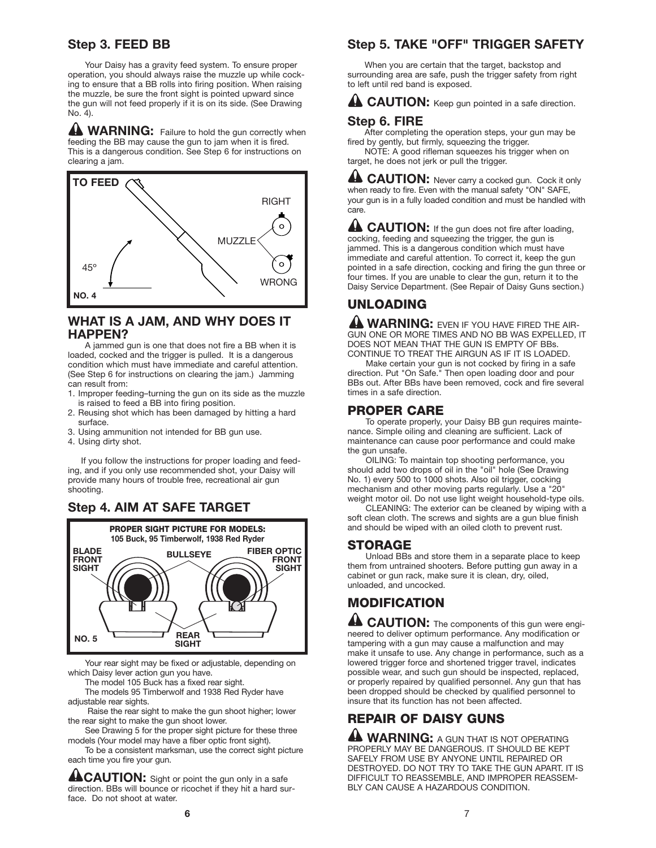#### **Step 3. FEED BB**

Your Daisy has a gravity feed system. To ensure proper operation, you should always raise the muzzle up while cocking to ensure that a BB rolls into firing position. When raising the muzzle, be sure the front sight is pointed upward since the gun will not feed properly if it is on its side. (See Drawing No. 4).

**WARNING:** Failure to hold the gun correctly when feeding the BB may cause the gun to jam when it is fired. This is a dangerous condition. See Step 6 for instructions on clearing a jam.



#### **WHAT IS A JAM, AND WHY DOES IT HAPPEN?**

A jammed gun is one that does not fire a BB when it is loaded, cocked and the trigger is pulled. It is a dangerous condition which must have immediate and careful attention. (See Step 6 for instructions on clearing the jam.) Jamming can result from:

- 1. Improper feeding–turning the gun on its side as the muzzle is raised to feed a BB into firing position.
- 2. Reusing shot which has been damaged by hitting a hard surface.
- 3. Using ammunition not intended for BB gun use.
- 4. Using dirty shot.

If you follow the instructions for proper loading and feeding, and if you only use recommended shot, your Daisy will provide many hours of trouble free, recreational air gun shooting.

## **Step 4. AIM AT SAFE TARGET**



Your rear sight may be fixed or adjustable, depending on which Daisy lever action gun you have.

The model 105 Buck has a fixed rear sight.

The models 95 Timberwolf and 1938 Red Ryder have adjustable rear sights.

Raise the rear sight to make the gun shoot higher; lower the rear sight to make the gun shoot lower.

See Drawing 5 for the proper sight picture for these three models (Your model may have a fiber optic front sight).

To be a consistent marksman, use the correct sight picture each time you fire your gun.

**ACAUTION:** Sight or point the gun only in a safe direction. BBs will bounce or ricochet if they hit a hard surface. Do not shoot at water.

#### **Step 5. TAKE "OFF" TRIGGER SAFETY**

When you are certain that the target, backstop and surrounding area are safe, push the trigger safety from right to left until red band is exposed.

**AL CAUTION:** Keep gun pointed in a safe direction.

#### **Step 6. FIRE**

After completing the operation steps, your gun may be fired by gently, but firmly, squeezing the trigger.

NOTE: A good rifleman squeezes his trigger when on target, he does not jerk or pull the trigger.

**CAUTION:** Never carry a cocked gun. Cock it only when ready to fire. Even with the manual safety "ON" SAFE, your gun is in a fully loaded condition and must be handled with care.

**A CAUTION:** If the gun does not fire after loading, cocking, feeding and squeezing the trigger, the gun is jammed. This is a dangerous condition which must have immediate and careful attention. To correct it, keep the gun pointed in a safe direction, cocking and firing the gun three or four times. If you are unable to clear the gun, return it to the Daisy Service Department. (See Repair of Daisy Guns section.)

# **UNLOADING**

**WARNING:** EVEN IF YOU HAVE FIRED THE AIR-GUN ONE OR MORE TIMES AND NO BB WAS EXPELLED, IT DOES NOT MEAN THAT THE GUN IS EMPTY OF BBs. CONTINUE TO TREAT THE AIRGUN AS IF IT IS LOADED.

Make certain your gun is not cocked by firing in a safe direction. Put "On Safe." Then open loading door and pour BBs out. After BBs have been removed, cock and fire several times in a safe direction.

#### **PROPER CARE**

To operate properly, your Daisy BB gun requires maintenance. Simple oiling and cleaning are sufficient. Lack of maintenance can cause poor performance and could make the gun unsafe.

OILING: To maintain top shooting performance, you should add two drops of oil in the "oil" hole (See Drawing No. 1) every 500 to 1000 shots. Also oil trigger, cocking mechanism and other moving parts regularly. Use a "20" weight motor oil. Do not use light weight household-type oils.

CLEANING: The exterior can be cleaned by wiping with a soft clean cloth. The screws and sights are a gun blue finish and should be wiped with an oiled cloth to prevent rust.

#### **STORAGE**

Unload BBs and store them in a separate place to keep them from untrained shooters. Before putting gun away in a cabinet or gun rack, make sure it is clean, dry, oiled, unloaded, and uncocked.

# **MODIFICATION**

**44 CAUTION:** The components of this gun were engineered to deliver optimum performance. Any modification or tampering with a gun may cause a malfunction and may make it unsafe to use. Any change in performance, such as a lowered trigger force and shortened trigger travel, indicates possible wear, and such gun should be inspected, replaced, or properly repaired by qualified personnel. Any gun that has been dropped should be checked by qualified personnel to insure that its function has not been affected.

# **REPAIR OF DAISY GUNS**

**A WARNING:** A GUN THAT IS NOT OPERATING PROPERLY MAY BE DANGEROUS. IT SHOULD BE KEPT SAFELY FROM USE BY ANYONE UNTIL REPAIRED OR DESTROYED. DO NOT TRY TO TAKE THE GUN APART. IT IS DIFFICULT TO REASSEMBLE, AND IMPROPER REASSEM-BLY CAN CAUSE A HAZARDOUS CONDITION.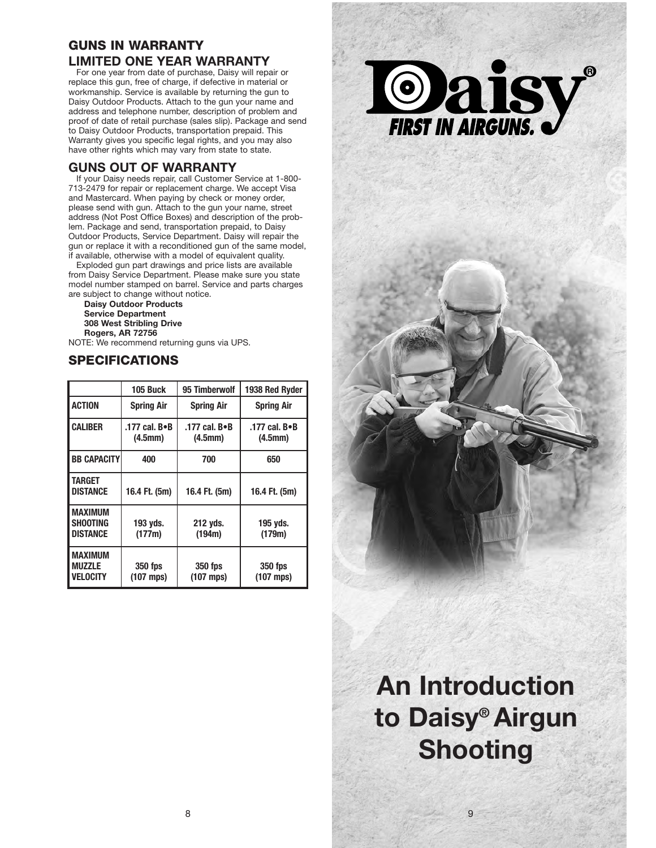# **GUNS IN WARRANTY LIMITED ONE YEAR WARRANTY**

For one year from date of purchase, Daisy will repair or replace this gun, free of charge, if defective in material or workmanship. Service is available by returning the gun to Daisy Outdoor Products. Attach to the gun your name and address and telephone number, description of problem and proof of date of retail purchase (sales slip). Package and send to Daisy Outdoor Products, transportation prepaid. This Warranty gives you specific legal rights, and you may also have other rights which may vary from state to state.

#### **GUNS OUT OF WARRANTY**

If your Daisy needs repair, call Customer Service at 1-800- 713-2479 for repair or replacement charge. We accept Visa and Mastercard. When paying by check or money order, please send with gun. Attach to the gun your name, street address (Not Post Office Boxes) and description of the problem. Package and send, transportation prepaid, to Daisy Outdoor Products, Service Department. Daisy will repair the gun or replace it with a reconditioned gun of the same model, if available, otherwise with a model of equivalent quality.

Exploded gun part drawings and price lists are available from Daisy Service Department. Please make sure you state model number stamped on barrel. Service and parts charges are subject to change without notice.

**Daisy Outdoor Products Service Department 308 West Stribling Drive Rogers, AR 72756**

NOTE: We recommend returning guns via UPS.

# **SPECIFICATIONS**

|                                                      | 105 Buck                 | 95 Timberwolf            | 1938 Red Ryder           |
|------------------------------------------------------|--------------------------|--------------------------|--------------------------|
| <b>ACTION</b>                                        | <b>Spring Air</b>        | <b>Spring Air</b>        | <b>Spring Air</b>        |
| <b>CALIBER</b>                                       | .177 cal. B•B<br>(4.5mm) | .177 cal. B.B<br>(4.5mm) | .177 cal. B•B<br>(4.5mm) |
| <b>BB CAPACITY</b>                                   | 400                      | 700                      | 650                      |
| TARGET<br><b>DISTANCE</b>                            | 16.4 Ft. (5m)            | 16.4 Ft. (5m)            | 16.4 Ft. (5m)            |
| <b>MAXIMUM</b><br><b>SHOOTING</b><br><b>DISTANCE</b> | 193 yds.<br>(177m)       | 212 yds.<br>(194m)       | 195 yds.<br>(179m)       |
| <b>MAXIMUM</b><br><b>MUZZLE</b><br><b>VELOCITY</b>   | 350 fps<br>$(107$ mps)   | 350 fps<br>$(107$ mps)   | 350 fps<br>$(107$ mps)   |



# **An Introduction to Daisy® Airgun Shooting**

9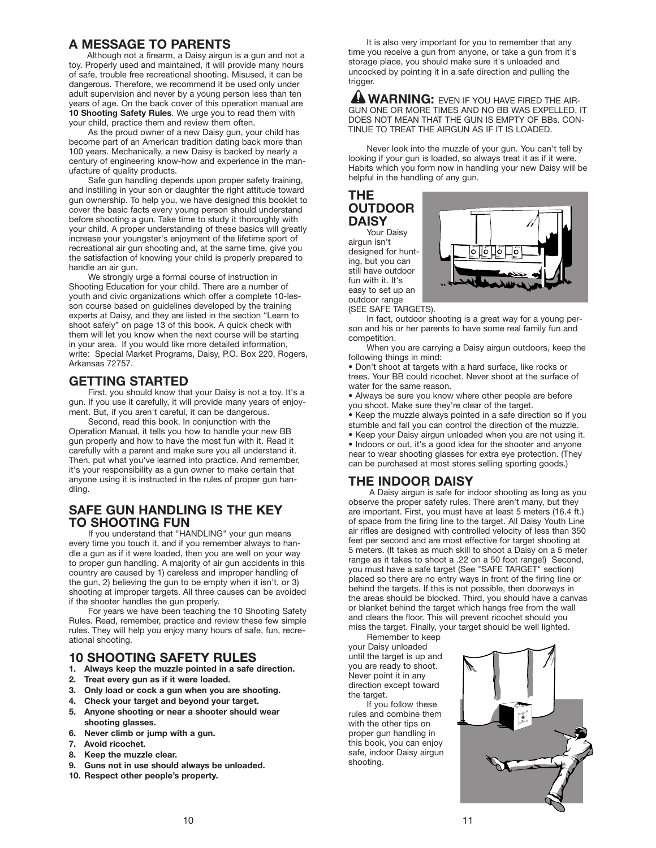#### **A MESSAGE TO PARENTS**

Although not a firearm, a Daisy airgun is a gun and not a toy. Properly used and maintained, it will provide many hours of safe, trouble free recreational shooting. Misused, it can be dangerous. Therefore, we recommend it be used only under adult supervision and never by a young person less than ten years of age. On the back cover of this operation manual are **10 Shooting Safety Rules**. We urge you to read them with your child, practice them and review them often.

As the proud owner of a new Daisy gun, your child has become part of an American tradition dating back more than 100 years. Mechanically, a new Daisy is backed by nearly a century of engineering know-how and experience in the manufacture of quality products.

Safe gun handling depends upon proper safety training, and instilling in your son or daughter the right attitude toward gun ownership. To help you, we have designed this booklet to cover the basic facts every young person should understand before shooting a gun. Take time to study it thoroughly with your child. A proper understanding of these basics will greatly increase your youngster's enjoyment of the lifetime sport of recreational air gun shooting and, at the same time, give you the satisfaction of knowing your child is properly prepared to handle an air gun.

We strongly urge a formal course of instruction in Shooting Education for your child. There are a number of youth and civic organizations which offer a complete 10-lesson course based on guidelines developed by the training experts at Daisy, and they are listed in the section "Learn to shoot safely" on page 13 of this book. A quick check with them will let you know when the next course will be starting in your area. If you would like more detailed information, write: Special Market Programs, Daisy, P.O. Box 220, Rogers, Arkansas 72757.

#### **GETTING STARTED**

First, you should know that your Daisy is not a toy. It's a gun. If you use it carefully, it will provide many years of enjoyment. But, if you aren't careful, it can be dangerous.

Second, read this book. In conjunction with the Operation Manual, it tells you how to handle your new BB gun properly and how to have the most fun with it. Read it carefully with a parent and make sure you all understand it. Then, put what you've learned into practice. And remember, it's your responsibility as a gun owner to make certain that anyone using it is instructed in the rules of proper gun handling.

#### **SAFE GUN HANDLING IS THE KEY TO SHOOTING FUN**

If you understand that "HANDLING" your gun means every time you touch it, and if you remember always to handle a gun as if it were loaded, then you are well on your way to proper gun handling. A majority of air gun accidents in this country are caused by 1) careless and improper handling of the gun, 2) believing the gun to be empty when it isn't, or 3) shooting at improper targets. All three causes can be avoided if the shooter handles the gun properly.

For years we have been teaching the 10 Shooting Safety Rules. Read, remember, practice and review these few simple rules. They will help you enjoy many hours of safe, fun, recreational shooting.

## **10 SHOOTING SAFETY RULES**

- **1. Always keep the muzzle pointed in a safe direction.**
- **2. Treat every gun as if it were loaded.**
- **3. Only load or cock a gun when you are shooting.**
- **4. Check your target and beyond your target.**
- **5. Anyone shooting or near a shooter should wear shooting glasses.**
- **6. Never climb or jump with a gun.**
- **7. Avoid ricochet.**
- **8. Keep the muzzle clear.**
- **9. Guns not in use should always be unloaded.**
- **10. Respect other people's property.**

It is also very important for you to remember that any time you receive a gun from anyone, or take a gun from it's storage place, you should make sure it's unloaded and uncocked by pointing it in a safe direction and pulling the trigger.

**AN WARNING:** EVEN IF YOU HAVE FIRED THE AIR-GUN ONE OR MORE TIMES AND NO BB WAS EXPELLED, IT DOES NOT MEAN THAT THE GUN IS EMPTY OF BBs. CON-TINUE TO TREAT THE AIRGUN AS IF IT IS LOADED.

Never look into the muzzle of your gun. You can't tell by looking if your gun is loaded, so always treat it as if it were. Habits which you form now in handling your new Daisy will be helpful in the handling of any gun.

#### **THE OUTDOOR DAISY**

Your Daisy airgun isn't designed for hunting, but you can still have outdoor fun with it. It's easy to set up an outdoor range



(SEE SAFE TARGETS).

In fact, outdoor shooting is a great way for a young person and his or her parents to have some real family fun and competition.

When you are carrying a Daisy airgun outdoors, keep the following things in mind:

• Don't shoot at targets with a hard surface, like rocks or trees. Your BB could ricochet. Never shoot at the surface of water for the same reason.

• Always be sure you know where other people are before you shoot. Make sure they're clear of the target.

• Keep the muzzle always pointed in a safe direction so if you stumble and fall you can control the direction of the muzzle.

• Keep your Daisy airgun unloaded when you are not using it. • Indoors or out, it's a good idea for the shooter and anyone near to wear shooting glasses for extra eye protection. (They can be purchased at most stores selling sporting goods.)

## **THE INDOOR DAISY**

A Daisy airgun is safe for indoor shooting as long as you observe the proper safety rules. There aren't many, but they are important. First, you must have at least 5 meters (16.4 ft.) of space from the firing line to the target. All Daisy Youth Line air rifles are designed with controlled velocity of less than 350 feet per second and are most effective for target shooting at 5 meters. (It takes as much skill to shoot a Daisy on a 5 meter range as it takes to shoot a .22 on a 50 foot range!) Second, you must have a safe target (See "SAFE TARGET" section) placed so there are no entry ways in front of the firing line or behind the targets. If this is not possible, then doorways in the areas should be blocked. Third, you should have a canvas or blanket behind the target which hangs free from the wall and clears the floor. This will prevent ricochet should you miss the target. Finally, your target should be well lighted.

Remember to keep your Daisy unloaded until the target is up and you are ready to shoot. Never point it in any direction except toward the target.

If you follow these rules and combine them with the other tips on proper gun handling in this book, you can enjoy safe, indoor Daisy airgun shooting.

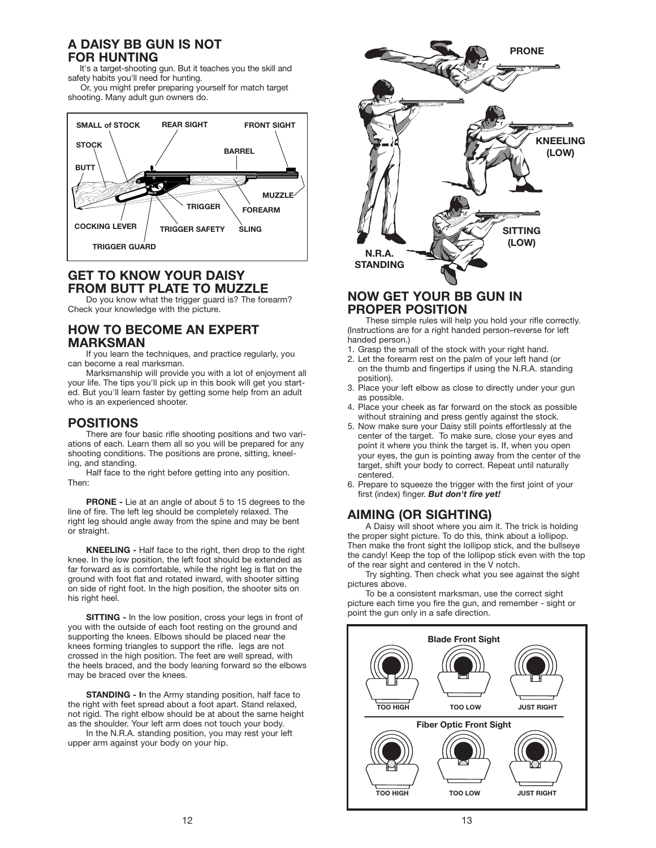#### **A DAISY BB GUN IS NOT FOR HUNTING**

It's a target-shooting gun. But it teaches you the skill and safety habits you'll need for hunting. Or, you might prefer preparing yourself for match target

shooting. Many adult gun owners do.



## **GET TO KNOW YOUR DAISY FROM BUTT PLATE TO MUZZLE**

Do you know what the trigger guard is? The forearm? Check your knowledge with the picture.

#### **HOW TO BECOME AN EXPERT MARKSMAN**

If you learn the techniques, and practice regularly, you can become a real marksman.

Marksmanship will provide you with a lot of enjoyment all your life. The tips you'll pick up in this book will get you started. But you'll learn faster by getting some help from an adult who is an experienced shooter.

#### **POSITIONS**

There are four basic rifle shooting positions and two variations of each. Learn them all so you will be prepared for any shooting conditions. The positions are prone, sitting, kneeling, and standing.

Half face to the right before getting into any position. Then:

**PRONE -** Lie at an angle of about 5 to 15 degrees to the line of fire. The left leg should be completely relaxed. The right leg should angle away from the spine and may be bent or straight.

**KNEELING -** Half face to the right, then drop to the right knee. In the low position, the left foot should be extended as far forward as is comfortable, while the right leg is flat on the ground with foot flat and rotated inward, with shooter sitting on side of right foot. In the high position, the shooter sits on his right heel.

**SITTING - In the low position, cross your legs in front of** you with the outside of each foot resting on the ground and supporting the knees. Elbows should be placed near the knees forming triangles to support the rifle. legs are not crossed in the high position. The feet are well spread, with the heels braced, and the body leaning forward so the elbows may be braced over the knees.

**STANDING - I**n the Army standing position, half face to the right with feet spread about a foot apart. Stand relaxed, not rigid. The right elbow should be at about the same height as the shoulder. Your left arm does not touch your body.

In the N.R.A. standing position, you may rest your left upper arm against your body on your hip.



#### **NOW GET YOUR BB GUN IN PROPER POSITION**

These simple rules will help you hold your rifle correctly. (Instructions are for a right handed person–reverse for left handed person.)

- 1. Grasp the small of the stock with your right hand.
- 2. Let the forearm rest on the palm of your left hand (or on the thumb and fingertips if using the N.R.A. standing position).
- 3. Place your left elbow as close to directly under your gun as possible.
- 4. Place your cheek as far forward on the stock as possible without straining and press gently against the stock.
- 5. Now make sure your Daisy still points effortlessly at the center of the target. To make sure, close your eyes and point it where you think the target is. If, when you open your eyes, the gun is pointing away from the center of the target, shift your body to correct. Repeat until naturally centered.
- 6. Prepare to squeeze the trigger with the first joint of your first (index) finger. *But don't fire yet!*

## **AIMING (OR SIGHTING)**

A Daisy will shoot where you aim it. The trick is holding the proper sight picture. To do this, think about a lollipop. Then make the front sight the lollipop stick, and the bullseye the candy! Keep the top of the lollipop stick even with the top of the rear sight and centered in the V notch.

Try sighting. Then check what you see against the sight pictures above.

To be a consistent marksman, use the correct sight picture each time you fire the gun, and remember - sight or point the gun only in a safe direction.